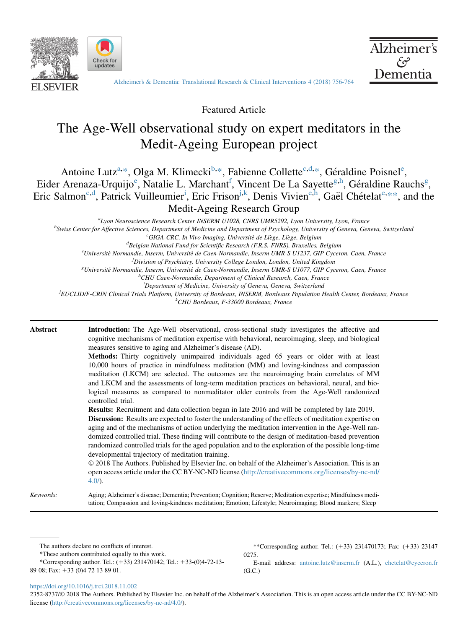





[Alzheimer's & Dementia: Translational Research & Clinical Interventions 4 \(2018\) 756-764](https://doi.org/10.1016/j.trci.2018.11.002)

Featured Article

# The Age-Well observational study on expert meditators in the Medit-Ageing European project

Antoine Lutz<sup>a,\*</sup>, Olga M. Klimecki<sup>b,\*</sup>, Fabienne Collette<sup>c,d,\*</sup>, Géraldine Poisnel<sup>e</sup>, Eider Arenaza-Urquijo<sup>e</sup>, Natalie L. Marchant<sup>f</sup>, Vincent De La Sayette<sup>g,h</sup>, Géraldine Rauchs<sup>g</sup>, Eric Salmon<sup>c,d</sup>, Patrick Vuilleumier<sup>i</sup>, Eric Frison<sup>j,k</sup>, Denis Vivien<sup>e,h</sup>, Gaël Chételat<sup>e,\*\*</sup>, and the Medit-Ageing Research Group

a<br>Lyon Neuroscience Research Center INSERM U1028, CNRS UMR5292, Lyon University, Lyon, France b Swiss Center for Affective Sciences, Department of Medicine and Department of Psychology, University of Geneva, Geneva, Switzerland<br>CHCA CPC In Vivo Imagina University de Liège, Liège Belgium  ${}^c$ GIGA-CRC, In Vivo Imaging, Université de Liège, Liège, Belgium <sup>d</sup>Belgian National Fund for Scientific Research (F.R.S.-FNRS), Bruxelles, Belgium

e Universite Normandie, Inserm, Universite de Caen-Normandie, Inserm UMR-S U1237, GIP Cyceron, Caen, France

f<br> *Folivision of Psychiatry, University College London, London, United Kingdom*<br> *EUniversité Normandie, Jaserm Université de Cean Normandie, Jaserm UMP S U1077 CIP Cy* 

Universite Normandie, Inserm, Universite de Caen-Normandie, Inserm UMR-S U1077, GIP Cyceron, Caen, France <sup>h</sup>

<sup>h</sup>CHU Caen-Normandie, Department of Clinical Research, Caen, France

<sup>i</sup>Department of Medicine, University of Geneva, Geneva, Switzerland

EUCLID/F-CRIN Clinical Trials Platform, University of Bordeaux, INSERM, Bordeaux Population Health Center, Bordeaux, France<br>kCHU Bordeaux, E 33000 Bordeaux, France

CHU Bordeaux, F-33000 Bordeaux, France

Abstract Introduction: The Age-Well observational, cross-sectional study investigates the affective and cognitive mechanisms of meditation expertise with behavioral, neuroimaging, sleep, and biological measures sensitive to aging and Alzheimer's disease (AD).

> Methods: Thirty cognitively unimpaired individuals aged 65 years or older with at least 10,000 hours of practice in mindfulness meditation (MM) and loving-kindness and compassion meditation (LKCM) are selected. The outcomes are the neuroimaging brain correlates of MM and LKCM and the assessments of long-term meditation practices on behavioral, neural, and biological measures as compared to nonmeditator older controls from the Age-Well randomized controlled trial.

> Results: Recruitment and data collection began in late 2016 and will be completed by late 2019. Discussion: Results are expected to foster the understanding of the effects of meditation expertise on aging and of the mechanisms of action underlying the meditation intervention in the Age-Well randomized controlled trial. These finding will contribute to the design of meditation-based prevention randomized controlled trials for the aged population and to the exploration of the possible long-time developmental trajectory of meditation training.

> 2018 The Authors. Published by Elsevier Inc. on behalf of the Alzheimer's Association. This is an open access article under the CC BY-NC-ND license ([http://creativecommons.org/licenses/by-nc-nd/](http://creativecommons.org/licenses/by-nc-nd/4.0/)  $4.0/$ ).

Keywords: Aging; Alzheimer's disease; Dementia; Prevention; Cognition; Reserve; Meditation expertise; Mindfulness meditation; Compassion and loving-kindness meditation; Emotion; Lifestyle; Neuroimaging; Blood markers; Sleep

The authors declare no conflicts of interest.

\*These authors contributed equally to this work.

\*Corresponding author. Tel.:  $(+33)$  231470142; Tel.:  $+33-(0)$ 4-72-13-89-08; Fax: +33 (0)4 72 13 89 01.

\*\*Corresponding author. Tel.:  $(+33)$  231470173; Fax:  $(+33)$  23147 0275.

E-mail address: [antoine.lutz@inserm.fr](mailto:antoine.lutz@inserm.fr) (A.L.), [chetelat@cyceron.fr](mailto:chetelat@cyceron.fr) (G.C.)

<https://doi.org/10.1016/j.trci.2018.11.002>

2352-8737/© 2018 The Authors. Published by Elsevier Inc. on behalf of the Alzheimer's Association. This is an open access article under the CC BY-NC-ND license ([http://creativecommons.org/licenses/by-nc-nd/4.0/\)](http://creativecommons.org/licenses/by-nc-nd/4.0/).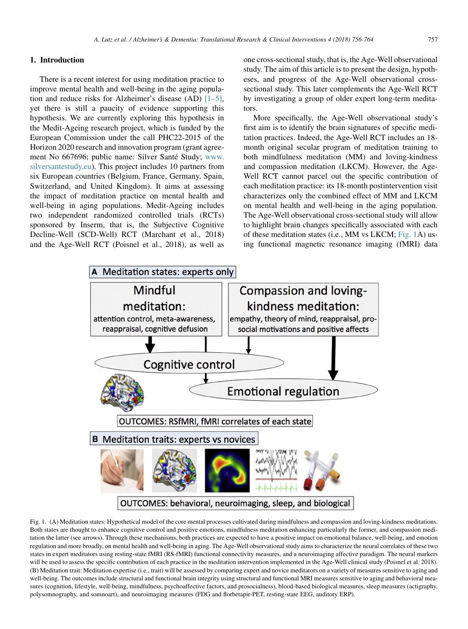# <span id="page-1-0"></span>1. Introduction

There is a recent interest for using meditation practice to improve mental health and well-being in the aging population and reduce risks for Alzheimer's disease (AD) [\[1–5\],](#page-7-0) yet there is still a paucity of evidence supporting this hypothesis. We are currently exploring this hypothesis in the Medit-Ageing research project, which is funded by the European Commission under the call PHC22-2015 of the Horizon 2020 research and innovation program (grant agreement No 667696; public name: Silver Santé Study; [www.](http://www.silversantestudy.eu) [silversantestudy.eu\)](http://www.silversantestudy.eu). This project includes 10 partners from six European countries (Belgium, France, Germany, Spain, Switzerland, and United Kingdom). It aims at assessing the impact of meditation practice on mental health and well-being in aging populations. Medit-Ageing includes two independent randomized controlled trials (RCTs) sponsored by Inserm, that is, the Subjective Cognitive Decline-Well (SCD-Well) RCT (Marchant et al., 2018) and the Age-Well RCT (Poisnel et al., 2018), as well as one cross-sectional study, that is, the Age-Well observational study. The aim of this article is to present the design, hypotheses, and progress of the Age-Well observational crosssectional study. This later complements the Age-Well RCT by investigating a group of older expert long-term meditators.

More specifically, the Age-Well observational study's first aim is to identify the brain signatures of specific meditation practices. Indeed, the Age-Well RCT includes an 18 month original secular program of meditation training to both mindfulness meditation (MM) and loving-kindness and compassion meditation (LKCM). However, the Age-Well RCT cannot parcel out the specific contribution of each meditation practice: its 18-month postintervention visit characterizes only the combined effect of MM and LKCM on mental health and well-being in the aging population. The Age-Well observational cross-sectional study will allow to highlight brain changes specifically associated with each of these meditation states (i.e., MM vs LKCM; Fig. 1A) using functional magnetic resonance imaging (fMRI) data



Fig. 1. (A) Meditation states: Hypothetical model of the core mental processes cultivated during mindfulness and compassion and loving-kindness meditations. Both states are thought to enhance cognitive control and positive emotions, mindfulness meditation enhancing particularly the former, and compassion meditation the latter (see arrows). Through these mechanisms, both practices are expected to have a positive impact on emotional balance, well-being, and emotion regulation and more broadly, on mental health and well-being in aging. The Age-Well observational study aims to characterize the neural correlates of these two states in expert meditators using resting-state fMRI (RS-fMRI) functional connectivity measures, and a neuroimaging affective paradigm. The neural markers will be used to assess the specific contribution of each practice in the meditation intervention implemented in the Age-Well clinical study (Poisnel et al. 2018). (B) Meditation trait: Meditation expertise (i.e., trait) will be assessed by comparing expert and novice meditators on a variety of measures sensitive to aging and well-being. The outcomes include structural and functional brain integrity using structural and functional MRI measures sensitive to aging and behavioral measures (cognition, lifestyle, well-being, mindfulness, psychoaffective factors, and prosocialness), blood-based biological measures, sleep measures (actigraphy, polysomnography, and somnoart), and neuroimaging measures (FDG and florbetapir-PET, resting-state EEG, auditory ERP).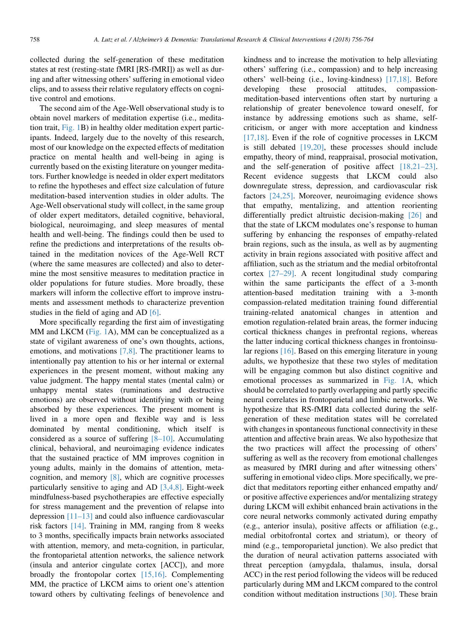collected during the self-generation of these meditation states at rest (resting-state fMRI [RS-fMRI]) as well as during and after witnessing others' suffering in emotional video clips, and to assess their relative regulatory effects on cognitive control and emotions.

The second aim of the Age-Well observational study is to obtain novel markers of meditation expertise (i.e., meditation trait, [Fig. 1](#page-1-0)B) in healthy older meditation expert participants. Indeed, largely due to the novelty of this research, most of our knowledge on the expected effects of meditation practice on mental health and well-being in aging is currently based on the existing literature on younger meditators. Further knowledge is needed in older expert meditators to refine the hypotheses and effect size calculation of future meditation-based intervention studies in older adults. The Age-Well observational study will collect, in the same group of older expert meditators, detailed cognitive, behavioral, biological, neuroimaging, and sleep measures of mental health and well-being. The findings could then be used to refine the predictions and interpretations of the results obtained in the meditation novices of the Age-Well RCT (where the same measures are collected) and also to determine the most sensitive measures to meditation practice in older populations for future studies. More broadly, these markers will inform the collective effort to improve instruments and assessment methods to characterize prevention studies in the field of aging and AD [\[6\].](#page-7-0)

More specifically regarding the first aim of investigating MM and LKCM [\(Fig. 1A](#page-1-0)), MM can be conceptualized as a state of vigilant awareness of one's own thoughts, actions, emotions, and motivations [\[7,8\].](#page-7-0) The practitioner learns to intentionally pay attention to his or her internal or external experiences in the present moment, without making any value judgment. The happy mental states (mental calm) or unhappy mental states (ruminations and destructive emotions) are observed without identifying with or being absorbed by these experiences. The present moment is lived in a more open and flexible way and is less dominated by mental conditioning, which itself is considered as a source of suffering [\[8–10\].](#page-7-0) Accumulating clinical, behavioral, and neuroimaging evidence indicates that the sustained practice of MM improves cognition in young adults, mainly in the domains of attention, metacognition, and memory [\[8\]](#page-7-0), which are cognitive processes particularly sensitive to aging and AD [\[3,4,8\].](#page-7-0) Eight-week mindfulness-based psychotherapies are effective especially for stress management and the prevention of relapse into depression [\[11–13\]](#page-7-0) and could also influence cardiovascular risk factors [\[14\].](#page-7-0) Training in MM, ranging from 8 weeks to 3 months, specifically impacts brain networks associated with attention, memory, and meta-cognition, in particular, the frontoparietal attention networks, the salience network (insula and anterior cingulate cortex [ACC]), and more broadly the frontopolar cortex [\[15,16\].](#page-7-0) Complementing MM, the practice of LKCM aims to orient one's attention toward others by cultivating feelings of benevolence and

kindness and to increase the motivation to help alleviating others' suffering (i.e., compassion) and to help increasing others' well-being (i.e., loving-kindness) [\[17,18\]](#page-7-0). Before developing these prosocial attitudes, compassionmeditation-based interventions often start by nurturing a relationship of greater benevolence toward oneself, for instance by addressing emotions such as shame, selfcriticism, or anger with more acceptation and kindness [\[17,18\]](#page-7-0). Even if the role of cognitive processes in LKCM is still debated [\[19,20\],](#page-7-0) these processes should include empathy, theory of mind, reappraisal, prosocial motivation, and the self-generation of positive affect [\[18,21–23\].](#page-7-0) Recent evidence suggests that LKCM could also downregulate stress, depression, and cardiovascular risk factors [\[24,25\].](#page-8-0) Moreover, neuroimaging evidence shows that empathy, mentalizing, and attention reorienting differentially predict altruistic decision-making [\[26\]](#page-8-0) and that the state of LKCM modulates one's response to human suffering by enhancing the responses of empathy-related brain regions, such as the insula, as well as by augmenting activity in brain regions associated with positive affect and affiliation, such as the striatum and the medial orbitofrontal cortex [\[27–29\]](#page-8-0). A recent longitudinal study comparing within the same participants the effect of a 3-month attention-based meditation training with a 3-month compassion-related meditation training found differential training-related anatomical changes in attention and emotion regulation-related brain areas, the former inducing cortical thickness changes in prefrontal regions, whereas the latter inducing cortical thickness changes in frontoinsular regions [\[16\].](#page-7-0) Based on this emerging literature in young adults, we hypothesize that these two styles of meditation will be engaging common but also distinct cognitive and emotional processes as summarized in [Fig. 1](#page-1-0)A, which should be correlated to partly overlapping and partly specific neural correlates in frontoparietal and limbic networks. We hypothesize that RS-fMRI data collected during the selfgeneration of these meditation states will be correlated with changes in spontaneous functional connectivity in these attention and affective brain areas. We also hypothesize that the two practices will affect the processing of others' suffering as well as the recovery from emotional challenges as measured by fMRI during and after witnessing others' suffering in emotional video clips. More specifically, we predict that meditators reporting either enhanced empathy and/ or positive affective experiences and/or mentalizing strategy during LKCM will exhibit enhanced brain activations in the core neural networks commonly activated during empathy (e.g., anterior insula), positive affects or affiliation (e.g., medial orbitofrontal cortex and striatum), or theory of mind (e.g., temporoparietal junction). We also predict that the duration of neural activation patterns associated with threat perception (amygdala, thalamus, insula, dorsal ACC) in the rest period following the videos will be reduced particularly during MM and LKCM compared to the control condition without meditation instructions [\[30\]](#page-8-0). These brain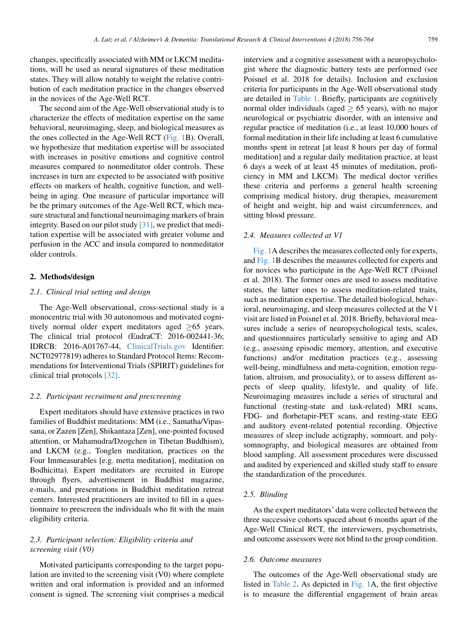changes, specifically associated with MM or LKCM meditations, will be used as neural signatures of these meditation states. They will allow notably to weight the relative contribution of each meditation practice in the changes observed in the novices of the Age-Well RCT.

The second aim of the Age-Well observational study is to characterize the effects of meditation expertise on the same behavioral, neuroimaging, sleep, and biological measures as the ones collected in the Age-Well RCT ([Fig. 1](#page-1-0)B). Overall, we hypothesize that meditation expertise will be associated with increases in positive emotions and cognitive control measures compared to nonmeditator older controls. These increases in turn are expected to be associated with positive effects on markers of health, cognitive function, and wellbeing in aging. One measure of particular importance will be the primary outcomes of the Age-Well RCT, which measure structural and functional neuroimaging markers of brain integrity. Based on our pilot study [\[31\]](#page-8-0), we predict that meditation expertise will be associated with greater volume and perfusion in the ACC and insula compared to nonmeditator older controls.

# 2. Methods/design

# 2.1. Clinical trial setting and design

The Age-Well observational, cross-sectional study is a monocentric trial with 30 autonomous and motivated cognitively normal older expert meditators aged  $\geq 65$  years. The clinical trial protocol (EudraCT: 2016-002441-36; IDRCB: 2016-A01767-44, [ClinicalTrials.gov](http://ClinicalTrials.gov) Identifier: NCT02977819) adheres to Standard Protocol Items: Recommendations for Interventional Trials (SPIRIT) guidelines for clinical trial protocols [\[32\]](#page-8-0).

### 2.2. Participant recruitment and prescreening

Expert meditators should have extensive practices in two families of Buddhist meditations: MM (i.e., Samatha/Vipassana, or Zazen [Zen], Shikantaza [Zen], one-pointed focused attention, or Mahamudra/Dzogchen in Tibetan Buddhism), and LKCM (e.g., Tonglen meditation, practices on the Four Immeasurables [e.g. metta meditation], meditation on Bodhicitta). Expert meditators are recruited in Europe through flyers, advertisement in Buddhist magazine, e-mails, and presentations in Buddhist meditation retreat centers. Interested practitioners are invited to fill in a questionnaire to prescreen the individuals who fit with the main eligibility criteria.

# 2.3. Participant selection: Eligibility criteria and screening visit (V0)

Motivated participants corresponding to the target population are invited to the screening visit (V0) where complete written and oral information is provided and an informed consent is signed. The screening visit comprises a medical interview and a cognitive assessment with a neuropsychologist where the diagnostic battery tests are performed (see Poisnel et al. 2018 for details). Inclusion and exclusion criteria for participants in the Age-Well observational study are detailed in [Table 1](#page-4-0). Briefly, participants are cognitively normal older individuals (aged  $\geq$  65 years), with no major neurological or psychiatric disorder, with an intensive and regular practice of meditation (i.e., at least 10,000 hours of formal meditation in their life including at least 6 cumulative months spent in retreat [at least 8 hours per day of formal meditation] and a regular daily meditation practice, at least 6 days a week of at least 45 minutes of meditation, proficiency in MM and LKCM). The medical doctor verifies these criteria and performs a general health screening comprising medical history, drug therapies, measurement of height and weight, hip and waist circumferences, and sitting blood pressure.

#### 2.4. Measures collected at V1

[Fig. 1A](#page-1-0) describes the measures collected only for experts, and [Fig. 1](#page-1-0)B describes the measures collected for experts and for novices who participate in the Age-Well RCT (Poisnel et al. 2018). The former ones are used to assess meditative states, the latter ones to assess meditation-related traits, such as meditation expertise. The detailed biological, behavioral, neuroimaging, and sleep measures collected at the V1 visit are listed in Poisnel et al. 2018. Briefly, behavioral measures include a series of neuropsychological tests, scales, and questionnaires particularly sensitive to aging and AD (e.g., assessing episodic memory, attention, and executive functions) and/or meditation practices (e.g., assessing well-being, mindfulness and meta-cognition, emotion regulation, altruism, and prosociality), or to assess different aspects of sleep quality, lifestyle, and quality of life. Neuroimaging measures include a series of structural and functional (resting-state and task-related) MRI scans, FDG- and florbetapir-PET scans, and resting-state EEG and auditory event-related potential recording. Objective measures of sleep include actigraphy, somnoart, and polysomnography, and biological measures are obtained from blood sampling. All assessment procedures were discussed and audited by experienced and skilled study staff to ensure the standardization of the procedures.

# 2.5. Blinding

As the expert meditators' data were collected between the three successive cohorts spaced about 6 months apart of the Age-Well Clinical RCT, the interviewers, psychometrists, and outcome assessors were not blind to the group condition.

#### 2.6. Outcome measures

The outcomes of the Age-Well observational study are listed in [Table 2](#page-5-0). As depicted in [Fig. 1](#page-1-0)A, the first objective is to measure the differential engagement of brain areas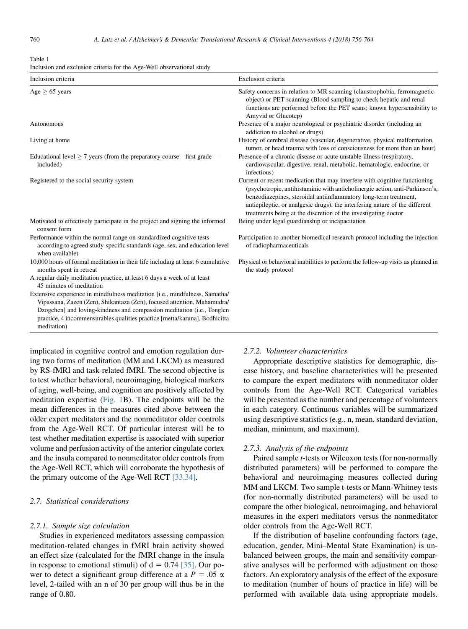<span id="page-4-0"></span>Table 1

| Inclusion and exclusion criteria for the Age-Well observational study |  |  |  |  |
|-----------------------------------------------------------------------|--|--|--|--|
|-----------------------------------------------------------------------|--|--|--|--|

| Inclusion criteria                                                                                                                                                                                                                                                                                                            | Exclusion criteria                                                                                                                                                                                                                                                                                                                                                              |  |
|-------------------------------------------------------------------------------------------------------------------------------------------------------------------------------------------------------------------------------------------------------------------------------------------------------------------------------|---------------------------------------------------------------------------------------------------------------------------------------------------------------------------------------------------------------------------------------------------------------------------------------------------------------------------------------------------------------------------------|--|
| Age $> 65$ years                                                                                                                                                                                                                                                                                                              | Safety concerns in relation to MR scanning (claustrophobia, ferromagnetic<br>object) or PET scanning (Blood sampling to check hepatic and renal<br>functions are performed before the PET scans; known hypersensibility to<br>Amyvid or Glucotep)                                                                                                                               |  |
| Autonomous                                                                                                                                                                                                                                                                                                                    | Presence of a major neurological or psychiatric disorder (including an<br>addiction to alcohol or drugs)                                                                                                                                                                                                                                                                        |  |
| Living at home                                                                                                                                                                                                                                                                                                                | History of cerebral disease (vascular, degenerative, physical malformation,<br>tumor, or head trauma with loss of consciousness for more than an hour)                                                                                                                                                                                                                          |  |
| Educational level $> 7$ years (from the preparatory course—first grade—<br>included)                                                                                                                                                                                                                                          | Presence of a chronic disease or acute unstable illness (respiratory,<br>cardiovascular, digestive, renal, metabolic, hematologic, endocrine, or<br>infectious)                                                                                                                                                                                                                 |  |
| Registered to the social security system                                                                                                                                                                                                                                                                                      | Current or recent medication that may interfere with cognitive functioning<br>(psychotropic, antihistaminic with anticholinergic action, anti-Parkinson's,<br>benzodiazepines, steroidal antiinflammatory long-term treatment,<br>antiepileptic, or analgesic drugs), the interfering nature of the different<br>treatments being at the discretion of the investigating doctor |  |
| Motivated to effectively participate in the project and signing the informed<br>consent form                                                                                                                                                                                                                                  | Being under legal guardianship or incapacitation                                                                                                                                                                                                                                                                                                                                |  |
| Performance within the normal range on standardized cognitive tests<br>according to agreed study-specific standards (age, sex, and education level<br>when available)                                                                                                                                                         | Participation to another biomedical research protocol including the injection<br>of radiopharmaceuticals                                                                                                                                                                                                                                                                        |  |
| 10,000 hours of formal meditation in their life including at least 6 cumulative<br>months spent in retreat                                                                                                                                                                                                                    | Physical or behavioral inabilities to perform the follow-up visits as planned in<br>the study protocol                                                                                                                                                                                                                                                                          |  |
| A regular daily meditation practice, at least 6 days a week of at least<br>45 minutes of meditation                                                                                                                                                                                                                           |                                                                                                                                                                                                                                                                                                                                                                                 |  |
| Extensive experience in mindfulness meditation [i.e., mindfulness, Samatha/<br>Vipassana, Zazen (Zen), Shikantaza (Zen), focused attention, Mahamudra/<br>Dzogchen] and loving-kindness and compassion meditation (i.e., Tonglen<br>practice, 4 incommensurables qualities practice [metta/karuna], Bodhicitta<br>meditation) |                                                                                                                                                                                                                                                                                                                                                                                 |  |

implicated in cognitive control and emotion regulation during two forms of meditation (MM and LKCM) as measured by RS-fMRI and task-related fMRI. The second objective is to test whether behavioral, neuroimaging, biological markers of aging, well-being, and cognition are positively affected by meditation expertise ([Fig. 1B](#page-1-0)). The endpoints will be the mean differences in the measures cited above between the older expert meditators and the nonmeditator older controls from the Age-Well RCT. Of particular interest will be to test whether meditation expertise is associated with superior volume and perfusion activity of the anterior cingulate cortex and the insula compared to nonmeditator older controls from the Age-Well RCT, which will corroborate the hypothesis of the primary outcome of the Age-Well RCT [\[33,34\].](#page-8-0)

#### 2.7. Statistical considerations

# 2.7.1. Sample size calculation

Studies in experienced meditators assessing compassion meditation-related changes in fMRI brain activity showed an effect size (calculated for the fMRI change in the insula in response to emotional stimuli) of  $d = 0.74$  [\[35\]](#page-8-0). Our power to detect a significant group difference at a  $P = .05 \alpha$ level, 2-tailed with an n of 30 per group will thus be in the range of 0.80.

### 2.7.2. Volunteer characteristics

Appropriate descriptive statistics for demographic, disease history, and baseline characteristics will be presented to compare the expert meditators with nonmeditator older controls from the Age-Well RCT. Categorical variables will be presented as the number and percentage of volunteers in each category. Continuous variables will be summarized using descriptive statistics (e.g., n, mean, standard deviation, median, minimum, and maximum).

## 2.7.3. Analysis of the endpoints

Paired sample *t*-tests or Wilcoxon tests (for non-normally distributed parameters) will be performed to compare the behavioral and neuroimaging measures collected during MM and LKCM. Two sample t-tests or Mann-Whitney tests (for non-normally distributed parameters) will be used to compare the other biological, neuroimaging, and behavioral measures in the expert meditators versus the nonmeditator older controls from the Age-Well RCT.

If the distribution of baseline confounding factors (age, education, gender, Mini–Mental State Examination) is unbalanced between groups, the main and sensitivity comparative analyses will be performed with adjustment on those factors. An exploratory analysis of the effect of the exposure to meditation (number of hours of practice in life) will be performed with available data using appropriate models.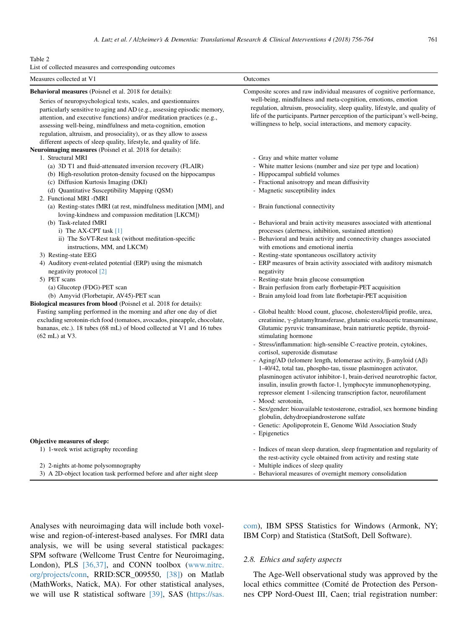<span id="page-5-0"></span>Table 2

List of collected measures and corresponding outcomes

| Measures collected at V1                                                                                                                                                                                                                                                                                                                                                                                                                                                                               | Outcomes                                                                                                                                                                                                                                                                                                                                                                                                                                                            |  |
|--------------------------------------------------------------------------------------------------------------------------------------------------------------------------------------------------------------------------------------------------------------------------------------------------------------------------------------------------------------------------------------------------------------------------------------------------------------------------------------------------------|---------------------------------------------------------------------------------------------------------------------------------------------------------------------------------------------------------------------------------------------------------------------------------------------------------------------------------------------------------------------------------------------------------------------------------------------------------------------|--|
| <b>Behavioral measures</b> (Poisnel et al. 2018 for details):                                                                                                                                                                                                                                                                                                                                                                                                                                          | Composite scores and raw individual measures of cognitive performance,                                                                                                                                                                                                                                                                                                                                                                                              |  |
| Series of neuropsychological tests, scales, and questionnaires<br>particularly sensitive to aging and AD (e.g., assessing episodic memory,<br>attention, and executive functions) and/or meditation practices (e.g.,<br>assessing well-being, mindfulness and meta-cognition, emotion<br>regulation, altruism, and prosociality), or as they allow to assess<br>different aspects of sleep quality, lifestyle, and quality of life.<br><b>Neuroimaging measures</b> (Poisnel et al. 2018 for details): | well-being, mindfulness and meta-cognition, emotions, emotion<br>regulation, altruism, prosociality, sleep quality, lifestyle, and quality of<br>life of the participants. Partner perception of the participant's well-being,<br>willingness to help, social interactions, and memory capacity.                                                                                                                                                                    |  |
| 1. Structural MRI                                                                                                                                                                                                                                                                                                                                                                                                                                                                                      | - Gray and white matter volume                                                                                                                                                                                                                                                                                                                                                                                                                                      |  |
| (a) 3D T1 and fluid-attenuated inversion recovery (FLAIR)                                                                                                                                                                                                                                                                                                                                                                                                                                              | - White matter lesions (number and size per type and location)                                                                                                                                                                                                                                                                                                                                                                                                      |  |
| (b) High-resolution proton-density focused on the hippocampus                                                                                                                                                                                                                                                                                                                                                                                                                                          | - Hippocampal subfield volumes                                                                                                                                                                                                                                                                                                                                                                                                                                      |  |
| (c) Diffusion Kurtosis Imaging (DKI)                                                                                                                                                                                                                                                                                                                                                                                                                                                                   | - Fractional anisotropy and mean diffusivity                                                                                                                                                                                                                                                                                                                                                                                                                        |  |
| (d) Quantitative Susceptibility Mapping (QSM)                                                                                                                                                                                                                                                                                                                                                                                                                                                          | - Magnetic susceptibility index                                                                                                                                                                                                                                                                                                                                                                                                                                     |  |
| 2. Functional MRI-fMRI                                                                                                                                                                                                                                                                                                                                                                                                                                                                                 |                                                                                                                                                                                                                                                                                                                                                                                                                                                                     |  |
| (a) Resting-states fMRI (at rest, mindfulness meditation [MM], and<br>loving-kindness and compassion meditation [LKCM])                                                                                                                                                                                                                                                                                                                                                                                | - Brain functional connectivity                                                                                                                                                                                                                                                                                                                                                                                                                                     |  |
| (b) Task-related fMRI                                                                                                                                                                                                                                                                                                                                                                                                                                                                                  | - Behavioral and brain activity measures associated with attentional                                                                                                                                                                                                                                                                                                                                                                                                |  |
| i) The AX-CPT task $[1]$                                                                                                                                                                                                                                                                                                                                                                                                                                                                               | processes (alertness, inhibition, sustained attention)                                                                                                                                                                                                                                                                                                                                                                                                              |  |
| ii) The SoVT-Rest task (without meditation-specific                                                                                                                                                                                                                                                                                                                                                                                                                                                    | - Behavioral and brain activity and connectivity changes associated                                                                                                                                                                                                                                                                                                                                                                                                 |  |
| instructions, MM, and LKCM)                                                                                                                                                                                                                                                                                                                                                                                                                                                                            | with emotions and emotional inertia                                                                                                                                                                                                                                                                                                                                                                                                                                 |  |
| 3) Resting-state EEG                                                                                                                                                                                                                                                                                                                                                                                                                                                                                   | - Resting-state spontaneous oscillatory activity                                                                                                                                                                                                                                                                                                                                                                                                                    |  |
| 4) Auditory event-related potential (ERP) using the mismatch                                                                                                                                                                                                                                                                                                                                                                                                                                           | - ERP measures of brain activity associated with auditory mismatch                                                                                                                                                                                                                                                                                                                                                                                                  |  |
| negativity protocol [2]<br>5) PET scans                                                                                                                                                                                                                                                                                                                                                                                                                                                                | negativity                                                                                                                                                                                                                                                                                                                                                                                                                                                          |  |
| (a) Glucotep (FDG)-PET scan                                                                                                                                                                                                                                                                                                                                                                                                                                                                            | - Resting-state brain glucose consumption<br>- Brain perfusion from early florbetapir-PET acquisition                                                                                                                                                                                                                                                                                                                                                               |  |
| (b) Amyvid (Florbetapir, AV45)-PET scan                                                                                                                                                                                                                                                                                                                                                                                                                                                                | - Brain amyloid load from late florbetapir-PET acquisition                                                                                                                                                                                                                                                                                                                                                                                                          |  |
| <b>Biological measures from blood</b> (Poisnel et al. 2018 for details):                                                                                                                                                                                                                                                                                                                                                                                                                               |                                                                                                                                                                                                                                                                                                                                                                                                                                                                     |  |
| Fasting sampling performed in the morning and after one day of diet                                                                                                                                                                                                                                                                                                                                                                                                                                    | - Global health: blood count, glucose, cholesterol/lipid profile, urea,                                                                                                                                                                                                                                                                                                                                                                                             |  |
| excluding serotonin-rich food (tomatoes, avocados, pineapple, chocolate,<br>bananas, etc.). 18 tubes (68 mL) of blood collected at V1 and 16 tubes<br>$(62 \text{ mL})$ at V3.                                                                                                                                                                                                                                                                                                                         | creatinine, γ-glutamyltransferase, glutamic oxaloacetic transaminase,<br>Glutamic pyruvic transaminase, brain natriuretic peptide, thyroid-<br>stimulating hormone                                                                                                                                                                                                                                                                                                  |  |
|                                                                                                                                                                                                                                                                                                                                                                                                                                                                                                        | - Stress/inflammation: high-sensible C-reactive protein, cytokines,<br>cortisol, superoxide dismutase                                                                                                                                                                                                                                                                                                                                                               |  |
|                                                                                                                                                                                                                                                                                                                                                                                                                                                                                                        | - Aging/AD (telomere length, telomerase activity, $\beta$ -amyloid (A $\beta$ )<br>1-40/42, total tau, phospho-tau, tissue plasminogen activator,<br>plasminogen activator inhibitor-1, brain-derived neurotrophic factor,<br>insulin, insulin growth factor-1, lymphocyte immunophenotyping,<br>repressor element 1-silencing transcription factor, neurofilament<br>- Mood: serotonin,<br>- Sex/gender: bioavailable testosterone, estradiol, sex hormone binding |  |
|                                                                                                                                                                                                                                                                                                                                                                                                                                                                                                        | globulin, dehydroepiandrosterone sulfate<br>- Genetic: Apolipoprotein E, Genome Wild Association Study<br>- Epigenetics                                                                                                                                                                                                                                                                                                                                             |  |
| Objective measures of sleep:                                                                                                                                                                                                                                                                                                                                                                                                                                                                           |                                                                                                                                                                                                                                                                                                                                                                                                                                                                     |  |
| 1) 1-week wrist actigraphy recording                                                                                                                                                                                                                                                                                                                                                                                                                                                                   | - Indices of mean sleep duration, sleep fragmentation and regularity of<br>the rest-activity cycle obtained from activity and resting state                                                                                                                                                                                                                                                                                                                         |  |
| 2) 2-nights at-home polysom nography                                                                                                                                                                                                                                                                                                                                                                                                                                                                   | - Multiple indices of sleep quality                                                                                                                                                                                                                                                                                                                                                                                                                                 |  |
| 3) A 2D-object location task performed before and after night sleep                                                                                                                                                                                                                                                                                                                                                                                                                                    | - Behavioral measures of overnight memory consolidation                                                                                                                                                                                                                                                                                                                                                                                                             |  |

Analyses with neuroimaging data will include both voxelwise and region-of-interest-based analyses. For fMRI data analysis, we will be using several statistical packages: SPM software (Wellcome Trust Centre for Neuroimaging, London), PLS [\[36,37\]](#page-8-0), and CONN toolbox ([www.nitrc.](http://www.nitrc.org/projects/conn) [org/projects/conn,](http://www.nitrc.org/projects/conn) RRID:SCR\_009550, [\[38\]\)](#page-8-0) on Matlab (MathWorks, Natick, MA). For other statistical analyses, we will use R statistical software [\[39\]](#page-8-0), SAS ([https://sas.](https://sas.com) [com](https://sas.com)), IBM SPSS Statistics for Windows (Armonk, NY; IBM Corp) and Statistica (StatSoft, Dell Software).

# 2.8. Ethics and safety aspects

The Age-Well observational study was approved by the local ethics committee (Comite de Protection des Personnes CPP Nord-Ouest III, Caen; trial registration number: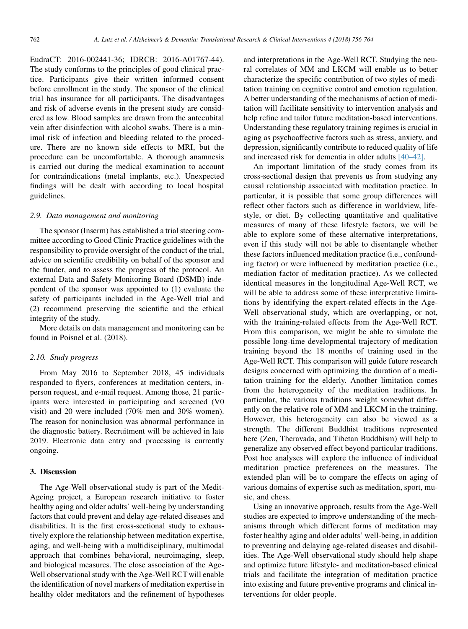EudraCT: 2016-002441-36; IDRCB: 2016-A01767-44). The study conforms to the principles of good clinical practice. Participants give their written informed consent before enrollment in the study. The sponsor of the clinical trial has insurance for all participants. The disadvantages and risk of adverse events in the present study are considered as low. Blood samples are drawn from the antecubital vein after disinfection with alcohol swabs. There is a minimal risk of infection and bleeding related to the procedure. There are no known side effects to MRI, but the procedure can be uncomfortable. A thorough anamnesis is carried out during the medical examination to account for contraindications (metal implants, etc.). Unexpected findings will be dealt with according to local hospital guidelines.

#### 2.9. Data management and monitoring

The sponsor (Inserm) has established a trial steering committee according to Good Clinic Practice guidelines with the responsibility to provide oversight of the conduct of the trial, advice on scientific credibility on behalf of the sponsor and the funder, and to assess the progress of the protocol. An external Data and Safety Monitoring Board (DSMB) independent of the sponsor was appointed to (1) evaluate the safety of participants included in the Age-Well trial and (2) recommend preserving the scientific and the ethical integrity of the study.

More details on data management and monitoring can be found in Poisnel et al. (2018).

#### 2.10. Study progress

From May 2016 to September 2018, 45 individuals responded to flyers, conferences at meditation centers, inperson request, and e-mail request. Among those, 21 participants were interested in participating and screened (V0 visit) and 20 were included (70% men and 30% women). The reason for noninclusion was abnormal performance in the diagnostic battery. Recruitment will be achieved in late 2019. Electronic data entry and processing is currently ongoing.

# 3. Discussion

The Age-Well observational study is part of the Medit-Ageing project, a European research initiative to foster healthy aging and older adults' well-being by understanding factors that could prevent and delay age-related diseases and disabilities. It is the first cross-sectional study to exhaustively explore the relationship between meditation expertise, aging, and well-being with a multidisciplinary, multimodal approach that combines behavioral, neuroimaging, sleep, and biological measures. The close association of the Age-Well observational study with the Age-Well RCT will enable the identification of novel markers of meditation expertise in healthy older meditators and the refinement of hypotheses and interpretations in the Age-Well RCT. Studying the neural correlates of MM and LKCM will enable us to better characterize the specific contribution of two styles of meditation training on cognitive control and emotion regulation. A better understanding of the mechanisms of action of meditation will facilitate sensitivity to intervention analysis and help refine and tailor future meditation-based interventions. Understanding these regulatory training regimes is crucial in aging as psychoaffective factors such as stress, anxiety, and depression, significantly contribute to reduced quality of life and increased risk for dementia in older adults [\[40–42\].](#page-8-0)

An important limitation of the study comes from its cross-sectional design that prevents us from studying any causal relationship associated with meditation practice. In particular, it is possible that some group differences will reflect other factors such as difference in worldview, lifestyle, or diet. By collecting quantitative and qualitative measures of many of these lifestyle factors, we will be able to explore some of these alternative interpretations, even if this study will not be able to disentangle whether these factors influenced meditation practice (i.e., confounding factor) or were influenced by meditation practice (i.e., mediation factor of meditation practice). As we collected identical measures in the longitudinal Age-Well RCT, we will be able to address some of these interpretative limitations by identifying the expert-related effects in the Age-Well observational study, which are overlapping, or not, with the training-related effects from the Age-Well RCT. From this comparison, we might be able to simulate the possible long-time developmental trajectory of meditation training beyond the 18 months of training used in the Age-Well RCT. This comparison will guide future research designs concerned with optimizing the duration of a meditation training for the elderly. Another limitation comes from the heterogeneity of the meditation traditions. In particular, the various traditions weight somewhat differently on the relative role of MM and LKCM in the training. However, this heterogeneity can also be viewed as a strength. The different Buddhist traditions represented here (Zen, Theravada, and Tibetan Buddhism) will help to generalize any observed effect beyond particular traditions. Post hoc analyses will explore the influence of individual meditation practice preferences on the measures. The extended plan will be to compare the effects on aging of various domains of expertise such as meditation, sport, music, and chess.

Using an innovative approach, results from the Age-Well studies are expected to improve understanding of the mechanisms through which different forms of meditation may foster healthy aging and older adults' well-being, in addition to preventing and delaying age-related diseases and disabilities. The Age-Well observational study should help shape and optimize future lifestyle- and meditation-based clinical trials and facilitate the integration of meditation practice into existing and future preventive programs and clinical interventions for older people.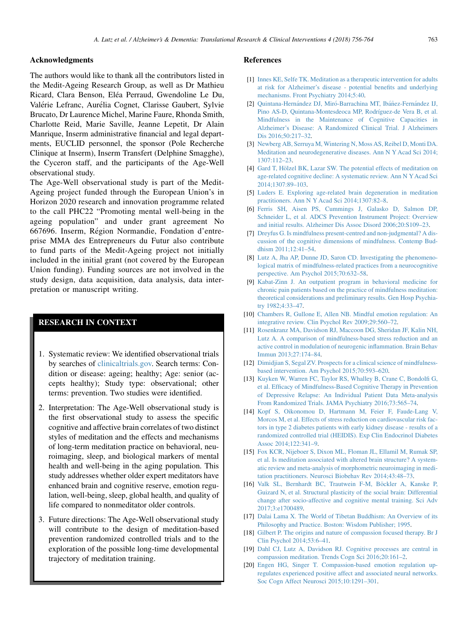# <span id="page-7-0"></span>Acknowledgments

The authors would like to thank all the contributors listed in the Medit-Ageing Research Group, as well as Dr Mathieu Ricard, Clara Benson, Eléa Perraud, Gwendoline Le Du, Valérie Lefranc, Aurélia Cognet, Clarisse Gaubert, Sylvie Brucato, Dr Laurence Michel, Marine Faure, Rhonda Smith, Charlotte Reid, Marie Saville, Jeanne Lepetit, Dr Alain Manrique, Inserm administrative financial and legal departments, EUCLID personnel, the sponsor (Pole Recherche Clinique at Inserm), Inserm Transfert (Delphine Smagghe), the Cyceron staff, and the participants of the Age-Well observational study.

The Age-Well observational study is part of the Medit-Ageing project funded through the European Union's in Horizon 2020 research and innovation programme related to the call PHC22 "Promoting mental well-being in the ageing population" and under grant agreement No 667696. Inserm, Region Normandie, Fondation d'entreprise MMA des Entrepreneurs du Futur also contribute to fund parts of the Medit-Ageing project not initially included in the initial grant (not covered by the European Union funding). Funding sources are not involved in the study design, data acquisition, data analysis, data interpretation or manuscript writing.

# RESEARCH IN CONTEXT

- 1. Systematic review: We identified observational trials by searches of [clinicaltrials.gov.](http://clinicaltrials.gov) Search terms: Condition or disease: ageing; healthy; Age: senior (accepts healthy); Study type: observational; other terms: prevention. Two studies were identified.
- 2. Interpretation: The Age-Well observational study is the first observational study to assess the specific cognitive and affective brain correlates of two distinct styles of meditation and the effects and mechanisms of long-term meditation practice on behavioral, neuroimaging, sleep, and biological markers of mental health and well-being in the aging population. This study addresses whether older expert meditators have enhanced brain and cognitive reserve, emotion regulation, well-being, sleep, global health, and quality of life compared to nonmeditator older controls.
- 3. Future directions: The Age-Well observational study will contribute to the design of meditation-based prevention randomized controlled trials and to the exploration of the possible long-time developmental trajectory of meditation training.

#### References

- [1] [Innes KE, Selfe TK. Meditation as a therapeutic intervention for adults](http://refhub.elsevier.com/S2352-8737(18)30077-5/sref1) [at risk for Alzheimer's disease - potential benefits and underlying](http://refhub.elsevier.com/S2352-8737(18)30077-5/sref1) [mechanisms. Front Psychiatry 2014;5:40](http://refhub.elsevier.com/S2352-8737(18)30077-5/sref1).
- [2] [Quintana-Hern](http://refhub.elsevier.com/S2352-8737(18)30077-5/sref2)á[ndez DJ, Mir](http://refhub.elsevier.com/S2352-8737(18)30077-5/sref2)ó-Barrachina MT, Ibáñ[ez-Fern](http://refhub.elsevier.com/S2352-8737(18)30077-5/sref2)á[ndez IJ,](http://refhub.elsevier.com/S2352-8737(18)30077-5/sref2) [Pino AS-D, Quintana-Montesdeoca MP, Rodr](http://refhub.elsevier.com/S2352-8737(18)30077-5/sref2)í[guez-de Vera B, et al.](http://refhub.elsevier.com/S2352-8737(18)30077-5/sref2) [Mindfulness in the Maintenance of Cognitive Capacities in](http://refhub.elsevier.com/S2352-8737(18)30077-5/sref2) [Alzheimer's Disease: A Randomized Clinical Trial. J Alzheimers](http://refhub.elsevier.com/S2352-8737(18)30077-5/sref2) [Dis 2016;50:217–32.](http://refhub.elsevier.com/S2352-8737(18)30077-5/sref2)
- [3] [Newberg AB, Serruya M, Wintering N, Moss AS, Reibel D, Monti DA.](http://refhub.elsevier.com/S2352-8737(18)30077-5/sref3) [Meditation and neurodegenerative diseases. Ann N Y Acad Sci 2014;](http://refhub.elsevier.com/S2352-8737(18)30077-5/sref3) [1307:112–23](http://refhub.elsevier.com/S2352-8737(18)30077-5/sref3).
- [4] [Gard T, H](http://refhub.elsevier.com/S2352-8737(18)30077-5/sref4)ölzel BK, Lazar SW. The potential effects of meditation on [age-related cognitive decline: A systematic review. Ann N YAcad Sci](http://refhub.elsevier.com/S2352-8737(18)30077-5/sref4) [2014;1307:89–103](http://refhub.elsevier.com/S2352-8737(18)30077-5/sref4).
- [5] [Luders E. Exploring age-related brain degeneration in meditation](http://refhub.elsevier.com/S2352-8737(18)30077-5/sref5) [practitioners. Ann N Y Acad Sci 2014;1307:82–8.](http://refhub.elsevier.com/S2352-8737(18)30077-5/sref5)
- [6] [Ferris SH, Aisen PS, Cummings J, Galasko D, Salmon DP,](http://refhub.elsevier.com/S2352-8737(18)30077-5/sref6) [Schneider L, et al. ADCS Prevention Instrument Project: Overview](http://refhub.elsevier.com/S2352-8737(18)30077-5/sref6) [and initial results. Alzheimer Dis Assoc Disord 2006;20:S109–23.](http://refhub.elsevier.com/S2352-8737(18)30077-5/sref6)
- [7] [Dreyfus G. Is mindfulness present-centred and non-judgmental? A dis](http://refhub.elsevier.com/S2352-8737(18)30077-5/sref7)[cussion of the cognitive dimensions of mindfulness. Contemp Bud](http://refhub.elsevier.com/S2352-8737(18)30077-5/sref7)[dhism 2011;12:41–54](http://refhub.elsevier.com/S2352-8737(18)30077-5/sref7).
- [8] [Lutz A, Jha AP, Dunne JD, Saron CD. Investigating the phenomeno](http://refhub.elsevier.com/S2352-8737(18)30077-5/sref8)[logical matrix of mindfulness-related practices from a neurocognitive](http://refhub.elsevier.com/S2352-8737(18)30077-5/sref8) [perspective. Am Psychol 2015;70:632–58](http://refhub.elsevier.com/S2352-8737(18)30077-5/sref8).
- [9] [Kabat-Zinn J. An outpatient program in behavioral medicine for](http://refhub.elsevier.com/S2352-8737(18)30077-5/sref9) [chronic pain patients based on the practice of mindfulness meditation:](http://refhub.elsevier.com/S2352-8737(18)30077-5/sref9) [theoretical considerations and preliminary results. Gen Hosp Psychia](http://refhub.elsevier.com/S2352-8737(18)30077-5/sref9)[try 1982;4:33–47](http://refhub.elsevier.com/S2352-8737(18)30077-5/sref9).
- [10] [Chambers R, Gullone E, Allen NB. Mindful emotion regulation: An](http://refhub.elsevier.com/S2352-8737(18)30077-5/sref10) [integrative review. Clin Psychol Rev 2009;29:560–72.](http://refhub.elsevier.com/S2352-8737(18)30077-5/sref10)
- [11] [Rosenkranz MA, Davidson RJ, Maccoon DG, Sheridan JF, Kalin NH,](http://refhub.elsevier.com/S2352-8737(18)30077-5/sref11) [Lutz A. A comparison of mindfulness-based stress reduction and an](http://refhub.elsevier.com/S2352-8737(18)30077-5/sref11) [active control in modulation of neurogenic inflammation. Brain Behav](http://refhub.elsevier.com/S2352-8737(18)30077-5/sref11) [Immun 2013;27:174–84.](http://refhub.elsevier.com/S2352-8737(18)30077-5/sref11)
- [12] [Dimidjian S, Segal ZV. Prospects for a clinical science of mindfulness](http://refhub.elsevier.com/S2352-8737(18)30077-5/sref12)[based intervention. Am Psychol 2015;70:593–620.](http://refhub.elsevier.com/S2352-8737(18)30077-5/sref12)
- [13] [Kuyken W, Warren FC, Taylor RS, Whalley B, Crane C, Bondolfi G,](http://refhub.elsevier.com/S2352-8737(18)30077-5/sref13) [et al. Efficacy of Mindfulness-Based Cognitive Therapy in Prevention](http://refhub.elsevier.com/S2352-8737(18)30077-5/sref13) [of Depressive Relapse: An Individual Patient Data Meta-analysis](http://refhub.elsevier.com/S2352-8737(18)30077-5/sref13) [From Randomized Trials. JAMA Psychiatry 2016;73:565–74](http://refhub.elsevier.com/S2352-8737(18)30077-5/sref13).
- [14] [Kopf S, Oikonomou D, Hartmann M, Feier F, Faude-Lang V,](http://refhub.elsevier.com/S2352-8737(18)30077-5/sref14) [Morcos M, et al. Effects of stress reduction on cardiovascular risk fac](http://refhub.elsevier.com/S2352-8737(18)30077-5/sref14)[tors in type 2 diabetes patients with early kidney disease - results of a](http://refhub.elsevier.com/S2352-8737(18)30077-5/sref14) [randomized controlled trial \(HEIDIS\). Exp Clin Endocrinol Diabetes](http://refhub.elsevier.com/S2352-8737(18)30077-5/sref14) [Assoc 2014;122:341–9.](http://refhub.elsevier.com/S2352-8737(18)30077-5/sref14)
- [15] [Fox KCR, Nijeboer S, Dixon ML, Floman JL, Ellamil M, Rumak SP,](http://refhub.elsevier.com/S2352-8737(18)30077-5/sref15) [et al. Is meditation associated with altered brain structure? A system](http://refhub.elsevier.com/S2352-8737(18)30077-5/sref15)[atic review and meta-analysis of morphometric neuroimaging in medi](http://refhub.elsevier.com/S2352-8737(18)30077-5/sref15)[tation practitioners. Neurosci Biobehav Rev 2014;43:48–73](http://refhub.elsevier.com/S2352-8737(18)30077-5/sref15).
- [16] [Valk SL, Bernhardt BC, Trautwein F-M, B](http://refhub.elsevier.com/S2352-8737(18)30077-5/sref16)öckler A, Kanske P, [Guizard N, et al. Structural plasticity of the social brain: Differential](http://refhub.elsevier.com/S2352-8737(18)30077-5/sref16) [change after socio-affective and cognitive mental training. Sci Adv](http://refhub.elsevier.com/S2352-8737(18)30077-5/sref16) [2017;3:e1700489.](http://refhub.elsevier.com/S2352-8737(18)30077-5/sref16)
- [17] [Dalai Lama X. The World of Tibetan Buddhism: An Overview of its](http://refhub.elsevier.com/S2352-8737(18)30077-5/sref17) [Philosophy and Practice. Boston: Wisdom Publisher; 1995](http://refhub.elsevier.com/S2352-8737(18)30077-5/sref17).
- [18] [Gilbert P. The origins and nature of compassion focused therapy. Br J](http://refhub.elsevier.com/S2352-8737(18)30077-5/sref18) [Clin Psychol 2014;53:6–41.](http://refhub.elsevier.com/S2352-8737(18)30077-5/sref18)
- [19] [Dahl CJ, Lutz A, Davidson RJ. Cognitive processes are central in](http://refhub.elsevier.com/S2352-8737(18)30077-5/sref19) [compassion meditation. Trends Cogn Sci 2016;20:161–2.](http://refhub.elsevier.com/S2352-8737(18)30077-5/sref19)
- [20] [Engen HG, Singer T. Compassion-based emotion regulation up](http://refhub.elsevier.com/S2352-8737(18)30077-5/sref20)[regulates experienced positive affect and associated neural networks.](http://refhub.elsevier.com/S2352-8737(18)30077-5/sref20) [Soc Cogn Affect Neurosci 2015;10:1291–301](http://refhub.elsevier.com/S2352-8737(18)30077-5/sref20).